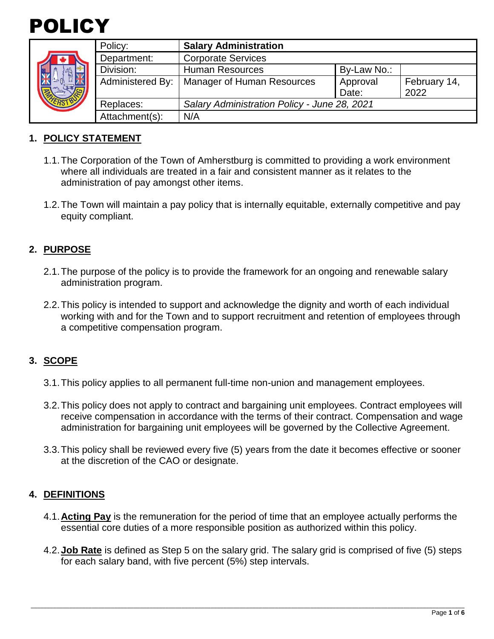



| Policy:                 | <b>Salary Administration</b>                 |                   |                      |
|-------------------------|----------------------------------------------|-------------------|----------------------|
| Department:             | <b>Corporate Services</b>                    |                   |                      |
| Division:               | <b>Human Resources</b>                       | By-Law No.:       |                      |
| <b>Administered By:</b> | Manager of Human Resources                   | Approval<br>Date: | February 14,<br>2022 |
| Replaces:               | Salary Administration Policy - June 28, 2021 |                   |                      |
| Attachment(s):          | N/A                                          |                   |                      |

# **1. POLICY STATEMENT**

- 1.1.The Corporation of the Town of Amherstburg is committed to providing a work environment where all individuals are treated in a fair and consistent manner as it relates to the administration of pay amongst other items.
- 1.2.The Town will maintain a pay policy that is internally equitable, externally competitive and pay equity compliant.

### **2. PURPOSE**

- 2.1.The purpose of the policy is to provide the framework for an ongoing and renewable salary administration program.
- 2.2.This policy is intended to support and acknowledge the dignity and worth of each individual working with and for the Town and to support recruitment and retention of employees through a competitive compensation program.

# **3. SCOPE**

- 3.1.This policy applies to all permanent full-time non-union and management employees.
- 3.2.This policy does not apply to contract and bargaining unit employees. Contract employees will receive compensation in accordance with the terms of their contract. Compensation and wage administration for bargaining unit employees will be governed by the Collective Agreement.
- 3.3.This policy shall be reviewed every five (5) years from the date it becomes effective or sooner at the discretion of the CAO or designate.

### **4. DEFINITIONS**

- 4.1.**Acting Pay** is the remuneration for the period of time that an employee actually performs the essential core duties of a more responsible position as authorized within this policy.
- 4.2.**Job Rate** is defined as Step 5 on the salary grid. The salary grid is comprised of five (5) steps for each salary band, with five percent (5%) step intervals.

\_\_\_\_\_\_\_\_\_\_\_\_\_\_\_\_\_\_\_\_\_\_\_\_\_\_\_\_\_\_\_\_\_\_\_\_\_\_\_\_\_\_\_\_\_\_\_\_\_\_\_\_\_\_\_\_\_\_\_\_\_\_\_\_\_\_\_\_\_\_\_\_\_\_\_\_\_\_\_\_\_\_\_\_\_\_\_\_\_\_\_\_\_\_\_\_\_\_\_\_\_\_\_\_\_\_\_\_\_\_\_\_\_\_\_\_\_\_\_\_\_\_\_\_\_\_\_\_\_\_\_\_\_\_\_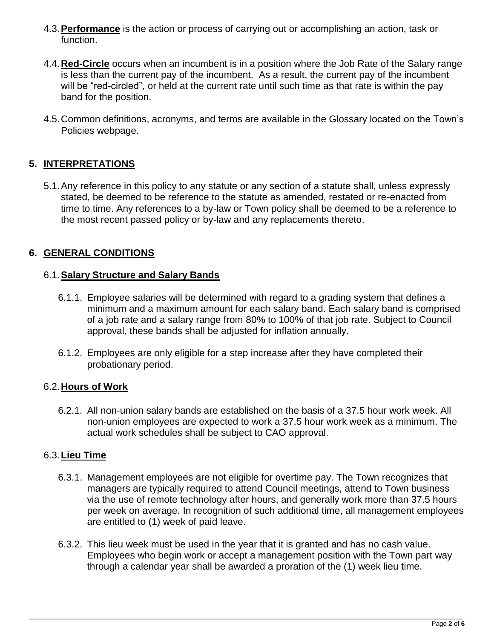- 4.3.**Performance** is the action or process of carrying out or accomplishing an action, task or function.
- 4.4.**Red-Circle** occurs when an incumbent is in a position where the Job Rate of the Salary range is less than the current pay of the incumbent. As a result, the current pay of the incumbent will be "red-circled", or held at the current rate until such time as that rate is within the pay band for the position.
- 4.5.Common definitions, acronyms, and terms are available in the Glossary located on the Town's Policies webpage.

# **5. INTERPRETATIONS**

5.1.Any reference in this policy to any statute or any section of a statute shall, unless expressly stated, be deemed to be reference to the statute as amended, restated or re-enacted from time to time. Any references to a by-law or Town policy shall be deemed to be a reference to the most recent passed policy or by-law and any replacements thereto.

### **6. GENERAL CONDITIONS**

### 6.1.**Salary Structure and Salary Bands**

- 6.1.1. Employee salaries will be determined with regard to a grading system that defines a minimum and a maximum amount for each salary band. Each salary band is comprised of a job rate and a salary range from 80% to 100% of that job rate. Subject to Council approval, these bands shall be adjusted for inflation annually.
- 6.1.2. Employees are only eligible for a step increase after they have completed their probationary period.

### 6.2.**Hours of Work**

6.2.1. All non-union salary bands are established on the basis of a 37.5 hour work week. All non-union employees are expected to work a 37.5 hour work week as a minimum. The actual work schedules shall be subject to CAO approval.

#### 6.3.**Lieu Time**

- 6.3.1. Management employees are not eligible for overtime pay. The Town recognizes that managers are typically required to attend Council meetings, attend to Town business via the use of remote technology after hours, and generally work more than 37.5 hours per week on average. In recognition of such additional time, all management employees are entitled to (1) week of paid leave.
- 6.3.2. This lieu week must be used in the year that it is granted and has no cash value. Employees who begin work or accept a management position with the Town part way through a calendar year shall be awarded a proration of the (1) week lieu time.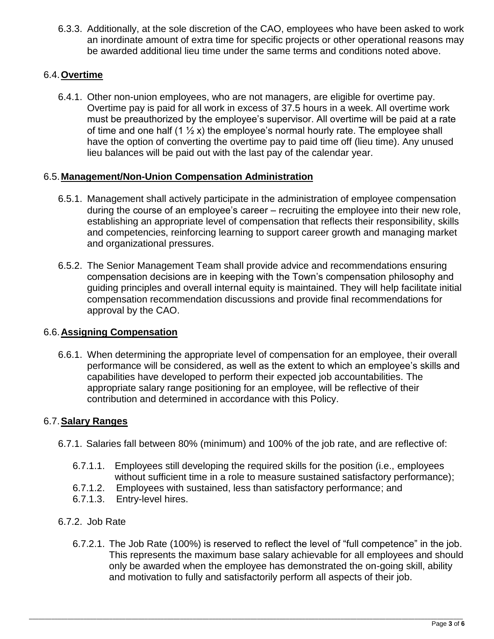6.3.3. Additionally, at the sole discretion of the CAO, employees who have been asked to work an inordinate amount of extra time for specific projects or other operational reasons may be awarded additional lieu time under the same terms and conditions noted above.

### 6.4.**Overtime**

6.4.1. Other non-union employees, who are not managers, are eligible for overtime pay. Overtime pay is paid for all work in excess of 37.5 hours in a week. All overtime work must be preauthorized by the employee's supervisor. All overtime will be paid at a rate of time and one half  $(1 \frac{1}{2} x)$  the employee's normal hourly rate. The employee shall have the option of converting the overtime pay to paid time off (lieu time). Any unused lieu balances will be paid out with the last pay of the calendar year.

### 6.5.**Management/Non-Union Compensation Administration**

- 6.5.1. Management shall actively participate in the administration of employee compensation during the course of an employee's career – recruiting the employee into their new role, establishing an appropriate level of compensation that reflects their responsibility, skills and competencies, reinforcing learning to support career growth and managing market and organizational pressures.
- 6.5.2. The Senior Management Team shall provide advice and recommendations ensuring compensation decisions are in keeping with the Town's compensation philosophy and guiding principles and overall internal equity is maintained. They will help facilitate initial compensation recommendation discussions and provide final recommendations for approval by the CAO.

### 6.6.**Assigning Compensation**

6.6.1. When determining the appropriate level of compensation for an employee, their overall performance will be considered, as well as the extent to which an employee's skills and capabilities have developed to perform their expected job accountabilities. The appropriate salary range positioning for an employee, will be reflective of their contribution and determined in accordance with this Policy.

### 6.7.**Salary Ranges**

- 6.7.1. Salaries fall between 80% (minimum) and 100% of the job rate, and are reflective of:
	- 6.7.1.1. Employees still developing the required skills for the position (i.e., employees without sufficient time in a role to measure sustained satisfactory performance);
	- 6.7.1.2. Employees with sustained, less than satisfactory performance; and
	- 6.7.1.3. Entry-level hires.
- 6.7.2. Job Rate
	- 6.7.2.1. The Job Rate (100%) is reserved to reflect the level of "full competence" in the job. This represents the maximum base salary achievable for all employees and should only be awarded when the employee has demonstrated the on-going skill, ability and motivation to fully and satisfactorily perform all aspects of their job.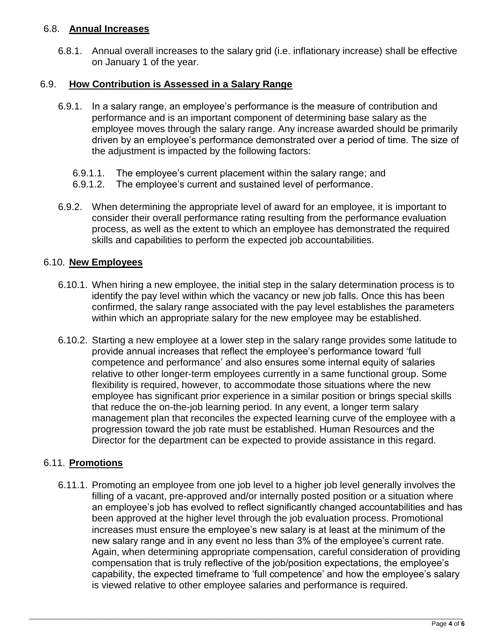### 6.8. **Annual Increases**

6.8.1. Annual overall increases to the salary grid (i.e. inflationary increase) shall be effective on January 1 of the year.

### 6.9. **How Contribution is Assessed in a Salary Range**

- 6.9.1. In a salary range, an employee's performance is the measure of contribution and performance and is an important component of determining base salary as the employee moves through the salary range. Any increase awarded should be primarily driven by an employee's performance demonstrated over a period of time. The size of the adjustment is impacted by the following factors:
	- 6.9.1.1. The employee's current placement within the salary range; and
	- 6.9.1.2. The employee's current and sustained level of performance.
- 6.9.2. When determining the appropriate level of award for an employee, it is important to consider their overall performance rating resulting from the performance evaluation process, as well as the extent to which an employee has demonstrated the required skills and capabilities to perform the expected job accountabilities.

### 6.10. **New Employees**

- 6.10.1. When hiring a new employee, the initial step in the salary determination process is to identify the pay level within which the vacancy or new job falls. Once this has been confirmed, the salary range associated with the pay level establishes the parameters within which an appropriate salary for the new employee may be established.
- 6.10.2. Starting a new employee at a lower step in the salary range provides some latitude to provide annual increases that reflect the employee's performance toward 'full competence and performance' and also ensures some internal equity of salaries relative to other longer-term employees currently in a same functional group. Some flexibility is required, however, to accommodate those situations where the new employee has significant prior experience in a similar position or brings special skills that reduce the on-the-job learning period. In any event, a longer term salary management plan that reconciles the expected learning curve of the employee with a progression toward the job rate must be established. Human Resources and the Director for the department can be expected to provide assistance in this regard.

# 6.11. **Promotions**

6.11.1. Promoting an employee from one job level to a higher job level generally involves the filling of a vacant, pre-approved and/or internally posted position or a situation where an employee's job has evolved to reflect significantly changed accountabilities and has been approved at the higher level through the job evaluation process. Promotional increases must ensure the employee's new salary is at least at the minimum of the new salary range and in any event no less than 3% of the employee's current rate. Again, when determining appropriate compensation, careful consideration of providing compensation that is truly reflective of the job/position expectations, the employee's capability, the expected timeframe to 'full competence' and how the employee's salary is viewed relative to other employee salaries and performance is required.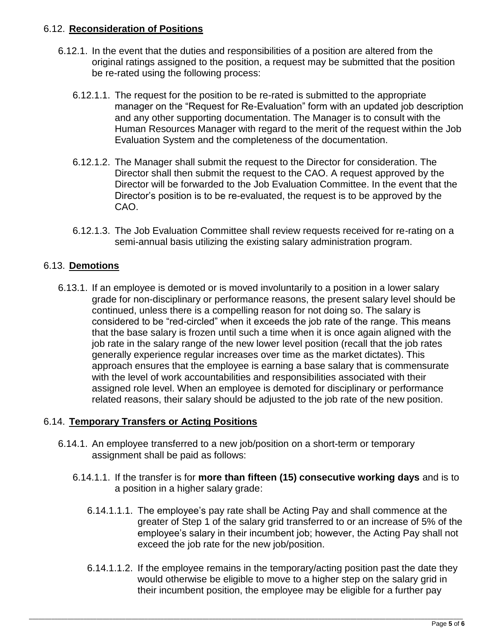### 6.12. **Reconsideration of Positions**

- 6.12.1. In the event that the duties and responsibilities of a position are altered from the original ratings assigned to the position, a request may be submitted that the position be re-rated using the following process:
	- 6.12.1.1. The request for the position to be re-rated is submitted to the appropriate manager on the "Request for Re-Evaluation" form with an updated job description and any other supporting documentation. The Manager is to consult with the Human Resources Manager with regard to the merit of the request within the Job Evaluation System and the completeness of the documentation.
	- 6.12.1.2. The Manager shall submit the request to the Director for consideration. The Director shall then submit the request to the CAO. A request approved by the Director will be forwarded to the Job Evaluation Committee. In the event that the Director's position is to be re-evaluated, the request is to be approved by the CAO.
	- 6.12.1.3. The Job Evaluation Committee shall review requests received for re-rating on a semi-annual basis utilizing the existing salary administration program.

# 6.13. **Demotions**

6.13.1. If an employee is demoted or is moved involuntarily to a position in a lower salary grade for non-disciplinary or performance reasons, the present salary level should be continued, unless there is a compelling reason for not doing so. The salary is considered to be "red-circled" when it exceeds the job rate of the range. This means that the base salary is frozen until such a time when it is once again aligned with the job rate in the salary range of the new lower level position (recall that the job rates generally experience regular increases over time as the market dictates). This approach ensures that the employee is earning a base salary that is commensurate with the level of work accountabilities and responsibilities associated with their assigned role level. When an employee is demoted for disciplinary or performance related reasons, their salary should be adjusted to the job rate of the new position.

# 6.14. **Temporary Transfers or Acting Positions**

- 6.14.1. An employee transferred to a new job/position on a short-term or temporary assignment shall be paid as follows:
	- 6.14.1.1. If the transfer is for **more than fifteen (15) consecutive working days** and is to a position in a higher salary grade:
		- 6.14.1.1.1. The employee's pay rate shall be Acting Pay and shall commence at the greater of Step 1 of the salary grid transferred to or an increase of 5% of the employee's salary in their incumbent job; however, the Acting Pay shall not exceed the job rate for the new job/position.
		- 6.14.1.1.2. If the employee remains in the temporary/acting position past the date they would otherwise be eligible to move to a higher step on the salary grid in their incumbent position, the employee may be eligible for a further pay